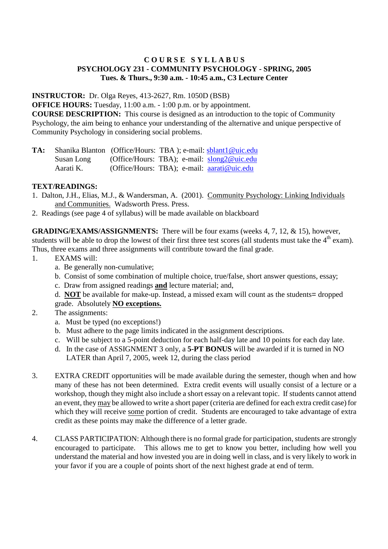## **C O U R S E S Y L L A B U S PSYCHOLOGY 231 - COMMUNITY PSYCHOLOGY - SPRING, 2005 Tues. & Thurs., 9:30 a.m. - 10:45 a.m., C3 Lecture Center**

**INSTRUCTOR:** Dr. Olga Reyes, 413-2627, Rm. 1050D (BSB)

**OFFICE HOURS:** Tuesday, 11:00 a.m. - 1:00 p.m. or by appointment.

**COURSE DESCRIPTION:** This course is designed as an introduction to the topic of Community Psychology, the aim being to enhance your understanding of the alternative and unique perspective of Community Psychology in considering social problems.

**TA:** Shanika Blanton (Office/Hours: TBA ); e-mail: sblant1@uic.edu Susan Long (Office/Hours: TBA); e-mail: slong2@uic.edu<br>Aarati K. (Office/Hours: TBA): e-mail: aarati@uic.edu (Office/Hours: TBA); e-mail: aarati@uic.edu

# **TEXT/READINGS:**

- 1. Dalton, J.H., Elias, M.J., & Wandersman, A. (2001). Community Psychology: Linking Individuals and Communities. Wadsworth Press. Press.
- 2. Readings (see page 4 of syllabus) will be made available on blackboard

**GRADING/EXAMS/ASSIGNMENTS:** There will be four exams (weeks 4, 7, 12, & 15), however, students will be able to drop the lowest of their first three test scores (all students must take the  $4<sup>th</sup>$  exam). Thus, three exams and three assignments will contribute toward the final grade.

- 1. EXAMS will:
	- a. Be generally non-cumulative;
	- b. Consist of some combination of multiple choice, true/false, short answer questions, essay;
	- c. Draw from assigned readings **and** lecture material; and,
	- d. **NOT** be available for make-up. Instead, a missed exam will count as the students= dropped grade. Absolutely **NO exceptions.**

## 2. The assignments:

- a. Must be typed (no exceptions!)
- b. Must adhere to the page limits indicated in the assignment descriptions.
- c. Will be subject to a 5-point deduction for each half-day late and 10 points for each day late.
- d. In the case of ASSIGNMENT 3 only, a **5-PT BONUS** will be awarded if it is turned in NO LATER than April 7, 2005, week 12, during the class period
- 3. EXTRA CREDIT opportunities will be made available during the semester, though when and how many of these has not been determined. Extra credit events will usually consist of a lecture or a workshop, though they might also include a short essay on a relevant topic. If students cannot attend an event, they may be allowed to write a short paper (criteria are defined for each extra credit case) for which they will receive some portion of credit. Students are encouraged to take advantage of extra credit as these points may make the difference of a letter grade.
- 4. CLASS PARTICIPATION: Although there is no formal grade for participation, students are strongly encouraged to participate. This allows me to get to know you better, including how well you understand the material and how invested you are in doing well in class, and is very likely to work in your favor if you are a couple of points short of the next highest grade at end of term.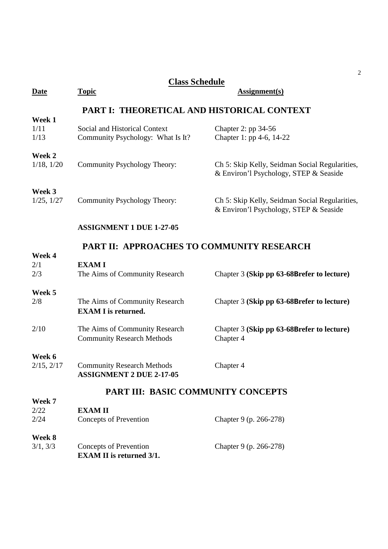| <b>Class Schedule</b>     |                                                                      |                                                                                          |  |  |
|---------------------------|----------------------------------------------------------------------|------------------------------------------------------------------------------------------|--|--|
| <b>Date</b>               | <b>Topic</b>                                                         | <b>Assignment(s)</b>                                                                     |  |  |
|                           | PART I: THEORETICAL AND HISTORICAL CONTEXT                           |                                                                                          |  |  |
| Week 1<br>1/11<br>1/13    | Social and Historical Context<br>Community Psychology: What Is It?   | Chapter 2: pp 34-56<br>Chapter 1: pp 4-6, 14-22                                          |  |  |
| Week 2<br>$1/18$ , $1/20$ | Community Psychology Theory:                                         | Ch 5: Skip Kelly, Seidman Social Regularities,<br>& Environ'l Psychology, STEP & Seaside |  |  |
| Week 3<br>1/25, 1/27      | Community Psychology Theory:                                         | Ch 5: Skip Kelly, Seidman Social Regularities,<br>& Environ'l Psychology, STEP & Seaside |  |  |
|                           | <b>ASSIGNMENT 1 DUE 1-27-05</b>                                      |                                                                                          |  |  |
|                           | PART II: APPROACHES TO COMMUNITY RESEARCH                            |                                                                                          |  |  |
| Week 4<br>2/1<br>2/3      | <b>EXAMI</b><br>The Aims of Community Research                       | Chapter 3 (Skip pp 63-68Brefer to lecture)                                               |  |  |
| Week 5<br>2/8             | The Aims of Community Research<br><b>EXAM I</b> is returned.         | Chapter 3 (Skip pp 63-68Brefer to lecture)                                               |  |  |
| 2/10                      | The Aims of Community Research<br><b>Community Research Methods</b>  | Chapter 3 (Skip pp 63-68Brefer to lecture)<br>Chapter 4                                  |  |  |
| Week 6<br>2/15, 2/17      | <b>Community Research Methods</b><br><b>ASSIGNMENT 2 DUE 2-17-05</b> | Chapter 4                                                                                |  |  |
|                           | PART III: BASIC COMMUNITY CONCEPTS                                   |                                                                                          |  |  |
| Week 7                    |                                                                      |                                                                                          |  |  |
| 2/22<br>2/24              | <b>EXAMII</b><br><b>Concepts of Prevention</b>                       | Chapter 9 (p. 266-278)                                                                   |  |  |
| Week 8                    |                                                                      |                                                                                          |  |  |
| 3/1, 3/3                  | <b>Concepts of Prevention</b><br><b>EXAM II</b> is returned 3/1.     | Chapter 9 (p. 266-278)                                                                   |  |  |

2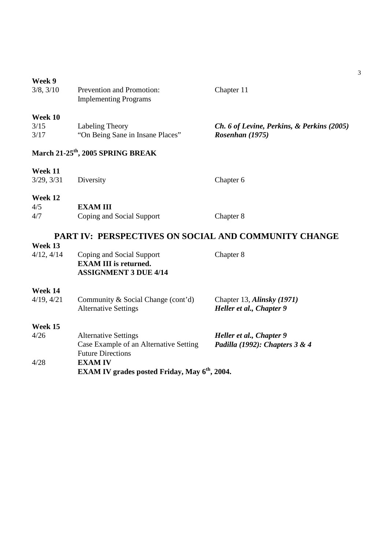|  | Week |  |
|--|------|--|
|--|------|--|

| 3/8, 3/10               | Prevention and Promotion:<br><b>Implementing Programs</b>                                         | Chapter 11                                                    |
|-------------------------|---------------------------------------------------------------------------------------------------|---------------------------------------------------------------|
| Week 10<br>3/15<br>3/17 | Labeling Theory<br>"On Being Sane in Insane Places"                                               | Ch. 6 of Levine, Perkins, & Perkins (2005)<br>Rosenhan (1975) |
|                         | March 21-25 <sup>th</sup> , 2005 SPRING BREAK                                                     |                                                               |
| Week 11<br>3/29, 3/31   | Diversity                                                                                         | Chapter 6                                                     |
| Week 12                 |                                                                                                   |                                                               |
| 4/5                     | <b>EXAMIII</b>                                                                                    |                                                               |
| 4/7                     | Coping and Social Support                                                                         | Chapter 8                                                     |
|                         | PART IV: PERSPECTIVES ON SOCIAL AND COMMUNITY CHANGE                                              |                                                               |
| Week 13                 |                                                                                                   |                                                               |
| 4/12, 4/14              | Coping and Social Support<br><b>EXAM III</b> is returned.<br><b>ASSIGNMENT 3 DUE 4/14</b>         | Chapter 8                                                     |
| Week 14                 |                                                                                                   |                                                               |
| 4/19, 4/21              | Community & Social Change (cont'd)<br><b>Alternative Settings</b>                                 | Chapter 13, Alinsky (1971)<br>Heller et al., Chapter 9        |
| Week 15                 |                                                                                                   |                                                               |
| 4/26                    | <b>Alternative Settings</b><br>Case Example of an Alternative Setting<br><b>Future Directions</b> | Heller et al., Chapter 9<br>Padilla (1992): Chapters $3 & 4$  |
| 4/28                    | <b>EXAM IV</b>                                                                                    | مصمد دالک                                                     |

**EXAM IV grades posted Friday, May 6th, 2004.**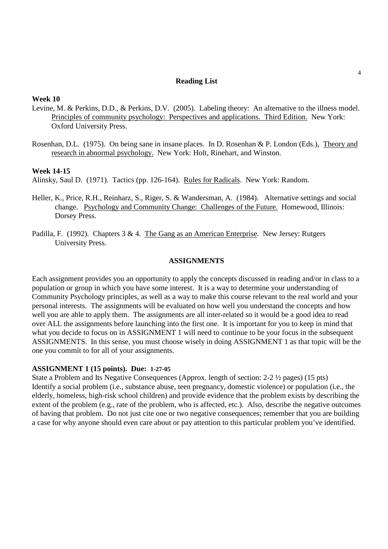### **Reading List**

### **Week 10**

- Levine, M. & Perkins, D.D., & Perkins, D.V. (2005). Labeling theory: An alternative to the illness model. Principles of community psychology: Perspectives and applications. Third Edition. New York: Oxford University Press.
- Rosenhan, D.L. (1975). On being sane in insane places. In D. Rosenhan & P. London (Eds.), Theory and research in abnormal psychology. New York: Holt, Rinehart, and Winston.

### **Week 14-15**

Alinsky, Saul D. (1971). Tactics (pp. 126-164). Rules for Radicals. New York: Random.

- Heller, K., Price, R.H., Reinharz, S., Riger, S. & Wandersman, A. (1984). Alternative settings and social change. Psychology and Community Change: Challenges of the Future. Homewood, Illinois: Dorsey Press.
- Padilla, F. (1992). Chapters 3 & 4. The Gang as an American Enterprise. New Jersey: Rutgers University Press.

## **ASSIGNMENTS**

Each assignment provides you an opportunity to apply the concepts discussed in reading and/or in class to a population or group in which you have some interest. It is a way to determine your understanding of Community Psychology principles, as well as a way to make this course relevant to the real world and your personal interests. The assignments will be evaluated on how well you understand the concepts and how well you are able to apply them. The assignments are all inter-related so it would be a good idea to read over ALL the assignments before launching into the first one. It is important for you to keep in mind that what you decide to focus on in ASSIGNMENT 1 will need to continue to be your focus in the subsequent ASSIGNMENTS. In this sense, you must choose wisely in doing ASSIGNMENT 1 as that topic will be the one you commit to for all of your assignments.

#### **ASSIGNMENT 1 (15 points). Due: 1-27-05**

State a Problem and Its Negative Consequences (Approx. length of section: 2-2 ½ pages) (15 pts) Identify a social problem (i.e., substance abuse, teen pregnancy, domestic violence) or population (i.e., the elderly, homeless, high-risk school children) and provide evidence that the problem exists by describing the extent of the problem (e.g., rate of the problem, who is affected, etc.). Also, describe the negative outcomes of having that problem. Do not just cite one or two negative consequences; remember that you are building a case for why anyone should even care about or pay attention to this particular problem you've identified.